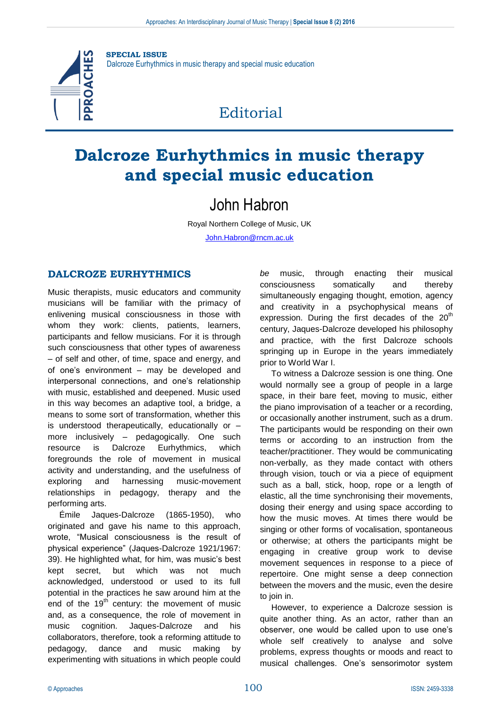

**SPECIAL ISSUE** Dalcroze Eurhythmics in music therapy and special music education

# **Editorial**

# **Dalcroze Eurhythmics in music therapy and special music education**

## John Habron

Royal Northern College of Music, UK [John.Habron@rncm.ac.uk](mailto:John.Habron@rncm.ac.uk)

## **DALCROZE EURHYTHMICS**

Music therapists, music educators and community musicians will be familiar with the primacy of enlivening musical consciousness in those with whom they work: clients, patients, learners, participants and fellow musicians. For it is through such consciousness that other types of awareness – of self and other, of time, space and energy, and of one's environment – may be developed and interpersonal connections, and one's relationship with music, established and deepened. Music used in this way becomes an adaptive tool, a bridge, a means to some sort of transformation, whether this is understood therapeutically, educationally or – more inclusively – pedagogically. One such resource is Dalcroze Eurhythmics, which foregrounds the role of movement in musical activity and understanding, and the usefulness of exploring and harnessing music-movement relationships in pedagogy, therapy and the performing arts.

Émile Jaques-Dalcroze (1865-1950), who originated and gave his name to this approach, wrote, "Musical consciousness is the result of physical experience" (Jaques-Dalcroze 1921/1967: 39). He highlighted what, for him, was music's best kept secret, but which was not much acknowledged, understood or used to its full potential in the practices he saw around him at the end of the  $19<sup>th</sup>$  century: the movement of music and, as a consequence, the role of movement in music cognition. Jaques-Dalcroze and his collaborators, therefore, took a reforming attitude to pedagogy, dance and music making by experimenting with situations in which people could

*be* music, through enacting their musical consciousness somatically and thereby simultaneously engaging thought, emotion, agency and creativity in a psychophysical means of expression. During the first decades of the  $20<sup>th</sup>$ century, Jaques-Dalcroze developed his philosophy and practice, with the first Dalcroze schools springing up in Europe in the years immediately prior to World War I.

To witness a Dalcroze session is one thing. One would normally see a group of people in a large space, in their bare feet, moving to music, either the piano improvisation of a teacher or a recording, or occasionally another instrument, such as a drum. The participants would be responding on their own terms or according to an instruction from the teacher/practitioner. They would be communicating non-verbally, as they made contact with others through vision, touch or via a piece of equipment such as a ball, stick, hoop, rope or a length of elastic, all the time synchronising their movements, dosing their energy and using space according to how the music moves. At times there would be singing or other forms of vocalisation, spontaneous or otherwise; at others the participants might be engaging in creative group work to devise movement sequences in response to a piece of repertoire. One might sense a deep connection between the movers and the music, even the desire to join in.

However, to experience a Dalcroze session is quite another thing. As an actor, rather than an observer, one would be called upon to use one's whole self creatively to analyse and solve problems, express thoughts or moods and react to musical challenges. One's sensorimotor system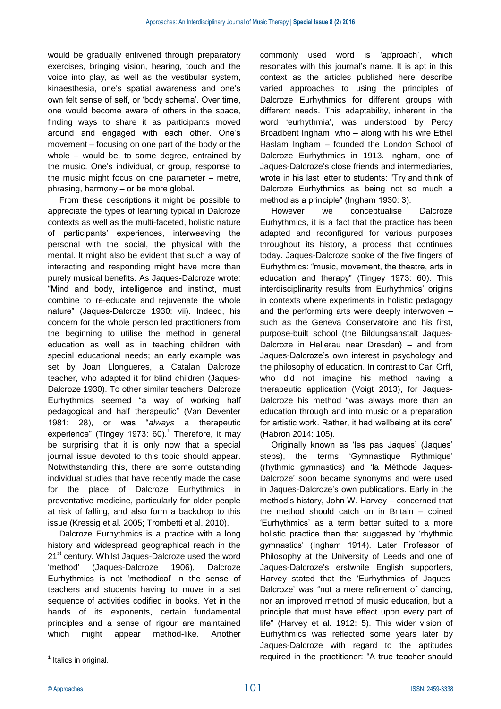would be gradually enlivened through preparatory exercises, bringing vision, hearing, touch and the voice into play, as well as the vestibular system, kinaesthesia, one's spatial awareness and one's own felt sense of self, or 'body schema'. Over time, one would become aware of others in the space, finding ways to share it as participants moved around and engaged with each other. One's movement – focusing on one part of the body or the whole – would be, to some degree, entrained by the music. One's individual, or group, response to the music might focus on one parameter – metre, phrasing, harmony – or be more global.

From these descriptions it might be possible to appreciate the types of learning typical in Dalcroze contexts as well as the multi-faceted, holistic nature of participants' experiences, interweaving the personal with the social, the physical with the mental. It might also be evident that such a way of interacting and responding might have more than purely musical benefits. As Jaques-Dalcroze wrote: "Mind and body, intelligence and instinct, must combine to re-educate and rejuvenate the whole nature" (Jaques-Dalcroze 1930: vii). Indeed, his concern for the whole person led practitioners from the beginning to utilise the method in general education as well as in teaching children with special educational needs; an early example was set by Joan Llongueres, a Catalan Dalcroze teacher, who adapted it for blind children (Jaques-Dalcroze 1930). To other similar teachers, Dalcroze Eurhythmics seemed "a way of working half pedagogical and half therapeutic" (Van Deventer 1981: 28), or was "*always* a therapeutic experience" (Tingey 1973: 60). $1$  Therefore, it may be surprising that it is only now that a special journal issue devoted to this topic should appear. Notwithstanding this, there are some outstanding individual studies that have recently made the case for the place of Dalcroze Eurhythmics in preventative medicine, particularly for older people at risk of falling, and also form a backdrop to this issue (Kressig et al. 2005; Trombetti et al. 2010).

Dalcroze Eurhythmics is a practice with a long history and widespread geographical reach in the 21<sup>st</sup> century. Whilst Jaques-Dalcroze used the word 'method' (Jaques-Dalcroze 1906), Dalcroze Eurhythmics is not 'methodical' in the sense of teachers and students having to move in a set sequence of activities codified in books. Yet in the hands of its exponents, certain fundamental principles and a sense of rigour are maintained which might appear method-like. Another commonly used word is 'approach', which resonates with this journal's name. It is apt in this context as the articles published here describe varied approaches to using the principles of Dalcroze Eurhythmics for different groups with different needs. This adaptability, inherent in the word 'eurhythmia', was understood by Percy Broadbent Ingham, who – along with his wife Ethel Haslam Ingham – founded the London School of Dalcroze Eurhythmics in 1913. Ingham, one of Jaques-Dalcroze's close friends and intermediaries, wrote in his last letter to students: "Try and think of Dalcroze Eurhythmics as being not so much a method as a principle" (Ingham 1930: 3).

However we conceptualise Dalcroze Eurhythmics, it is a fact that the practice has been adapted and reconfigured for various purposes throughout its history, a process that continues today. Jaques-Dalcroze spoke of the five fingers of Eurhythmics: "music, movement, the theatre, arts in education and therapy" (Tingey 1973: 60). This interdisciplinarity results from Eurhythmics' origins in contexts where experiments in holistic pedagogy and the performing arts were deeply interwoven – such as the Geneva Conservatoire and his first, purpose-built school (the Bildungsanstalt Jaques-Dalcroze in Hellerau near Dresden) – and from Jaques-Dalcroze's own interest in psychology and the philosophy of education. In contrast to Carl Orff, who did not imagine his method having a therapeutic application (Voigt 2013), for Jaques-Dalcroze his method "was always more than an education through and into music or a preparation for artistic work. Rather, it had wellbeing at its core" (Habron 2014: 105).

Originally known as 'les pas Jaques' (Jaques' steps), the terms 'Gymnastique Rythmique' (rhythmic gymnastics) and 'la Méthode Jaques-Dalcroze' soon became synonyms and were used in Jaques-Dalcroze's own publications. Early in the method's history, John W. Harvey – concerned that the method should catch on in Britain – coined 'Eurhythmics' as a term better suited to a more holistic practice than that suggested by 'rhythmic gymnastics' (Ingham 1914). Later Professor of Philosophy at the University of Leeds and one of Jaques-Dalcroze's erstwhile English supporters, Harvey stated that the 'Eurhythmics of Jaques-Dalcroze' was "not a mere refinement of dancing, nor an improved method of music education, but a principle that must have effect upon every part of life" (Harvey et al. 1912: 5). This wider vision of Eurhythmics was reflected some years later by Jaques-Dalcroze with regard to the aptitudes required in the practitioner: "A true teacher should

 $\overline{a}$ 

<sup>&</sup>lt;sup>1</sup> Italics in original.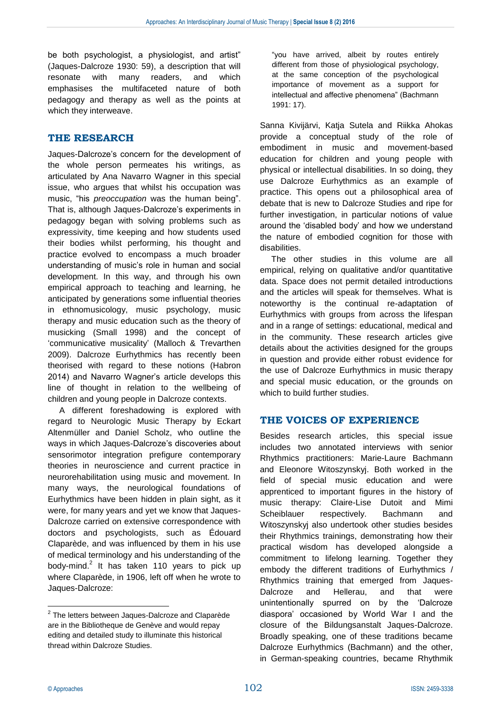be both psychologist, a physiologist, and artist" (Jaques-Dalcroze 1930: 59), a description that will resonate with many readers, and which emphasises the multifaceted nature of both pedagogy and therapy as well as the points at which they interweave.

### **THE RESEARCH**

Jaques-Dalcroze's concern for the development of the whole person permeates his writings, as articulated by Ana Navarro Wagner in this special issue, who argues that whilst his occupation was music, "his *preoccupation* was the human being". That is, although Jaques-Dalcroze's experiments in pedagogy began with solving problems such as expressivity, time keeping and how students used their bodies whilst performing, his thought and practice evolved to encompass a much broader understanding of music's role in human and social development. In this way, and through his own empirical approach to teaching and learning, he anticipated by generations some influential theories in ethnomusicology, music psychology, music therapy and music education such as the theory of musicking (Small 1998) and the concept of 'communicative musicality' (Malloch & Trevarthen 2009). Dalcroze Eurhythmics has recently been theorised with regard to these notions (Habron 2014) and Navarro Wagner's article develops this line of thought in relation to the wellbeing of children and young people in Dalcroze contexts.

A different foreshadowing is explored with regard to Neurologic Music Therapy by Eckart Altenmüller and Daniel Scholz, who outline the ways in which Jaques-Dalcroze's discoveries about sensorimotor integration prefigure contemporary theories in neuroscience and current practice in neurorehabilitation using music and movement. In many ways, the neurological foundations of Eurhythmics have been hidden in plain sight, as it were, for many years and yet we know that Jaques-Dalcroze carried on extensive correspondence with doctors and psychologists, such as Édouard Claparède, and was influenced by them in his use of medical terminology and his understanding of the body-mind.<sup>2</sup> It has taken 110 years to pick up where Claparède, in 1906, left off when he wrote to Jaques-Dalcroze:

"you have arrived, albeit by routes entirely different from those of physiological psychology, at the same conception of the psychological importance of movement as a support for intellectual and affective phenomena" (Bachmann 1991: 17).

Sanna Kivijärvi, Katja Sutela and Riikka Ahokas provide a conceptual study of the role of embodiment in music and movement-based education for children and young people with physical or intellectual disabilities. In so doing, they use Dalcroze Eurhythmics as an example of practice. This opens out a philosophical area of debate that is new to Dalcroze Studies and ripe for further investigation, in particular notions of value around the 'disabled body' and how we understand the nature of embodied cognition for those with disabilities.

The other studies in this volume are all empirical, relying on qualitative and/or quantitative data. Space does not permit detailed introductions and the articles will speak for themselves. What is noteworthy is the continual re-adaptation of Eurhythmics with groups from across the lifespan and in a range of settings: educational, medical and in the community. These research articles give details about the activities designed for the groups in question and provide either robust evidence for the use of Dalcroze Eurhythmics in music therapy and special music education, or the grounds on which to build further studies.

### **THE VOICES OF EXPERIENCE**

Besides research articles, this special issue includes two annotated interviews with senior Rhythmics practitioners: Marie-Laure Bachmann and Eleonore Witoszynskyj. Both worked in the field of special music education and were apprenticed to important figures in the history of music therapy: Claire-Lise Dutoit and Mimi Scheiblauer respectively. Bachmann and Witoszynskyj also undertook other studies besides their Rhythmics trainings, demonstrating how their practical wisdom has developed alongside a commitment to lifelong learning. Together they embody the different traditions of Eurhythmics / Rhythmics training that emerged from Jaques-Dalcroze and Hellerau, and that were unintentionally spurred on by the 'Dalcroze diaspora' occasioned by World War I and the closure of the Bildungsanstalt Jaques-Dalcroze. Broadly speaking, one of these traditions became Dalcroze Eurhythmics (Bachmann) and the other, in German-speaking countries, became Rhythmik

 2 The letters between Jaques-Dalcroze and Claparède are in the Bibliotheque de Genève and would repay editing and detailed study to illuminate this historical thread within Dalcroze Studies.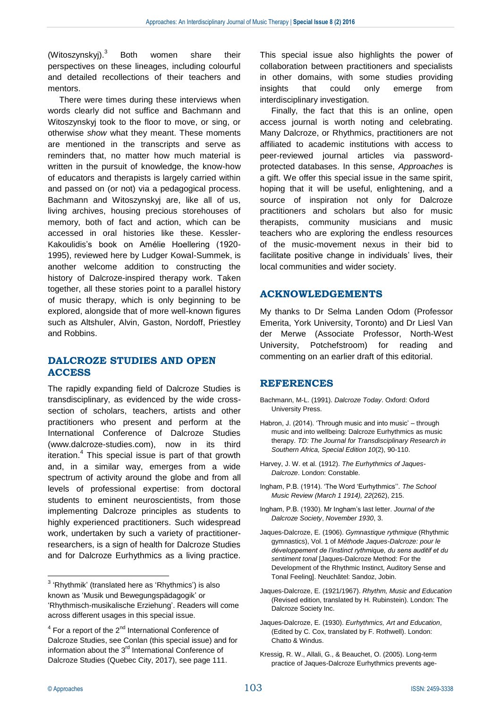(Witoszynskyj).<sup>3</sup> Both women share their perspectives on these lineages, including colourful and detailed recollections of their teachers and mentors.

There were times during these interviews when words clearly did not suffice and Bachmann and Witoszynskyj took to the floor to move, or sing, or otherwise *show* what they meant. These moments are mentioned in the transcripts and serve as reminders that, no matter how much material is written in the pursuit of knowledge, the know-how of educators and therapists is largely carried within and passed on (or not) via a pedagogical process. Bachmann and Witoszynskyj are, like all of us, living archives, housing precious storehouses of memory, both of fact and action, which can be accessed in oral histories like these. Kessler-Kakoulidis's book on Amélie Hoellering (1920- 1995), reviewed here by Ludger Kowal-Summek, is another welcome addition to constructing the history of Dalcroze-inspired therapy work. Taken together, all these stories point to a parallel history of music therapy, which is only beginning to be explored, alongside that of more well-known figures such as Altshuler, Alvin, Gaston, Nordoff, Priestley and Robbins.

### **DALCROZE STUDIES AND OPEN ACCESS**

The rapidly expanding field of Dalcroze Studies is transdisciplinary, as evidenced by the wide crosssection of scholars, teachers, artists and other practitioners who present and perform at the International Conference of Dalcroze Studies (www.dalcroze-studies.com), now in its third iteration.<sup>4</sup> This special issue is part of that growth and, in a similar way, emerges from a wide spectrum of activity around the globe and from all levels of professional expertise: from doctoral students to eminent neuroscientists, from those implementing Dalcroze principles as students to highly experienced practitioners. Such widespread work, undertaken by such a variety of practitionerresearchers, is a sign of health for Dalcroze Studies and for Dalcroze Eurhythmics as a living practice. This special issue also highlights the power of collaboration between practitioners and specialists in other domains, with some studies providing insights that could only emerge from interdisciplinary investigation.

Finally, the fact that this is an online, open access journal is worth noting and celebrating. Many Dalcroze, or Rhythmics, practitioners are not affiliated to academic institutions with access to peer-reviewed journal articles via passwordprotected databases. In this sense, *Approaches* is a gift. We offer this special issue in the same spirit, hoping that it will be useful, enlightening, and a source of inspiration not only for Dalcroze practitioners and scholars but also for music therapists, community musicians and music teachers who are exploring the endless resources of the music-movement nexus in their bid to facilitate positive change in individuals' lives, their local communities and wider society.

#### **ACKNOWLEDGEMENTS**

My thanks to Dr Selma Landen Odom (Professor Emerita, York University, Toronto) and Dr Liesl Van der Merwe (Associate Professor, North-West University, Potchefstroom) for reading and commenting on an earlier draft of this editorial.

#### **REFERENCES**

- Bachmann, M-L. (1991). *Dalcroze Today*. Oxford: Oxford University Press.
- Habron, J. (2014). 'Through music and into music' through music and into wellbeing: Dalcroze Eurhythmics as music therapy. *TD: The Journal for Transdisciplinary Research in Southern Africa, Special Edition 10*(2), 90-110.
- Harvey, J. W. et al. (1912). *The Eurhythmics of Jaques-Dalcroze*. London: Constable.
- Ingham, P.B. (1914). 'The Word 'Eurhythmics''. *The School Music Review (March 1 1914), 22*(262), 215.
- Ingham, P.B. (1930). Mr Ingham's last letter. *Journal of the Dalcroze Society*, *November 1930*, 3.
- Jaques-Dalcroze, E. (1906). *Gymnastique rythmique* (Rhythmic gymnastics), Vol. 1 of *Méthode Jaques-Dalcroze: pour le développement de l'instinct rythmique, du sens auditif et du sentiment tonal* [Jaques-Dalcroze Method: For the Development of the Rhythmic Instinct, Auditory Sense and Tonal Feeling]. Neuchâtel: Sandoz, Jobin.
- Jaques-Dalcroze, E. (1921/1967). *Rhythm, Music and Education* (Revised edition, translated by H. Rubinstein). London: The Dalcroze Society Inc.
- Jaques-Dalcroze, E. (1930). *Eurhythmics, Art and Education*, (Edited by C. Cox, translated by F. Rothwell). London: Chatto & Windus.
- Kressig, R. W., Allali, G., & Beauchet, O. (2005). Long-term practice of Jaques-Dalcroze Eurhythmics prevents age-

 $\overline{a}$ 

<sup>&</sup>lt;sup>3</sup> 'Rhythmik' (translated here as 'Rhythmics') is also known as 'Musik und Bewegungspädagogik' or 'Rhythmisch-musikalische Erziehung'. Readers will come across different usages in this special issue.

 $4$  For a report of the  $2<sup>nd</sup>$  International Conference of Dalcroze Studies, see Conlan (this special issue) and for information about the  $3<sup>rd</sup>$  International Conference of Dalcroze Studies (Quebec City, 2017), see page 111.